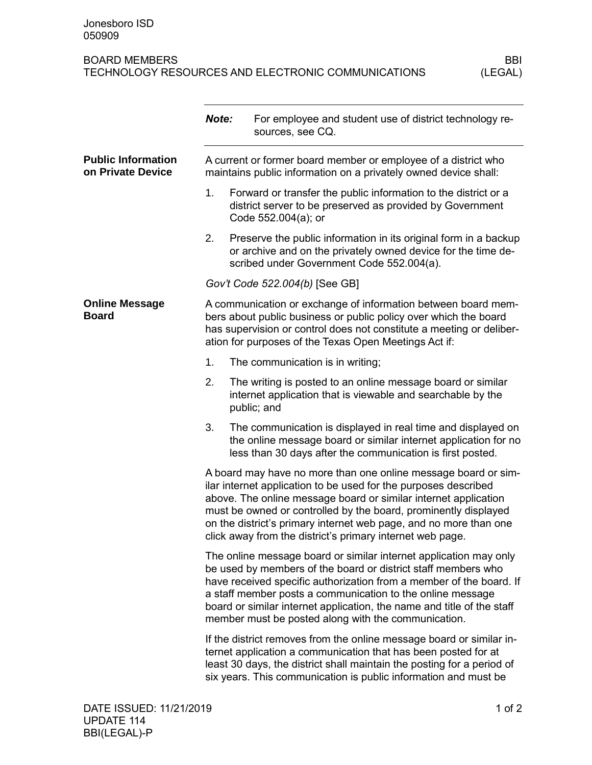## BOARD MEMBERS<br>TECHNOLOGY RESOURCES AND ELECTRONIC COMMUNICATIONS (LEGAL) TECHNOLOGY RESOURCES AND ELECTRONIC COMMUNICATIONS

|                                                | Note:                                                                                                                                                                                                                                                                                                                                                                                                     | For employee and student use of district technology re-<br>sources, see CQ.                                                                                                                                                                                                         |  |
|------------------------------------------------|-----------------------------------------------------------------------------------------------------------------------------------------------------------------------------------------------------------------------------------------------------------------------------------------------------------------------------------------------------------------------------------------------------------|-------------------------------------------------------------------------------------------------------------------------------------------------------------------------------------------------------------------------------------------------------------------------------------|--|
| <b>Public Information</b><br>on Private Device |                                                                                                                                                                                                                                                                                                                                                                                                           | A current or former board member or employee of a district who<br>maintains public information on a privately owned device shall:                                                                                                                                                   |  |
|                                                | 1.                                                                                                                                                                                                                                                                                                                                                                                                        | Forward or transfer the public information to the district or a<br>district server to be preserved as provided by Government<br>Code 552.004(a); or                                                                                                                                 |  |
|                                                | 2.                                                                                                                                                                                                                                                                                                                                                                                                        | Preserve the public information in its original form in a backup<br>or archive and on the privately owned device for the time de-<br>scribed under Government Code 552.004(a).                                                                                                      |  |
|                                                |                                                                                                                                                                                                                                                                                                                                                                                                           | Gov't Code 522.004(b) [See GB]                                                                                                                                                                                                                                                      |  |
| <b>Online Message</b><br><b>Board</b>          |                                                                                                                                                                                                                                                                                                                                                                                                           | A communication or exchange of information between board mem-<br>bers about public business or public policy over which the board<br>has supervision or control does not constitute a meeting or deliber-<br>ation for purposes of the Texas Open Meetings Act if:                  |  |
|                                                | 1.                                                                                                                                                                                                                                                                                                                                                                                                        | The communication is in writing;                                                                                                                                                                                                                                                    |  |
|                                                | 2.                                                                                                                                                                                                                                                                                                                                                                                                        | The writing is posted to an online message board or similar<br>internet application that is viewable and searchable by the<br>public; and                                                                                                                                           |  |
|                                                | 3.                                                                                                                                                                                                                                                                                                                                                                                                        | The communication is displayed in real time and displayed on<br>the online message board or similar internet application for no<br>less than 30 days after the communication is first posted.                                                                                       |  |
|                                                | A board may have no more than one online message board or sim-<br>ilar internet application to be used for the purposes described<br>above. The online message board or similar internet application<br>must be owned or controlled by the board, prominently displayed<br>on the district's primary internet web page, and no more than one<br>click away from the district's primary internet web page. |                                                                                                                                                                                                                                                                                     |  |
|                                                | The online message board or similar internet application may only<br>be used by members of the board or district staff members who<br>have received specific authorization from a member of the board. If<br>a staff member posts a communication to the online message<br>board or similar internet application, the name and title of the staff<br>member must be posted along with the communication.  |                                                                                                                                                                                                                                                                                     |  |
|                                                |                                                                                                                                                                                                                                                                                                                                                                                                           | If the district removes from the online message board or similar in-<br>ternet application a communication that has been posted for at<br>least 30 days, the district shall maintain the posting for a period of<br>six years. This communication is public information and must be |  |